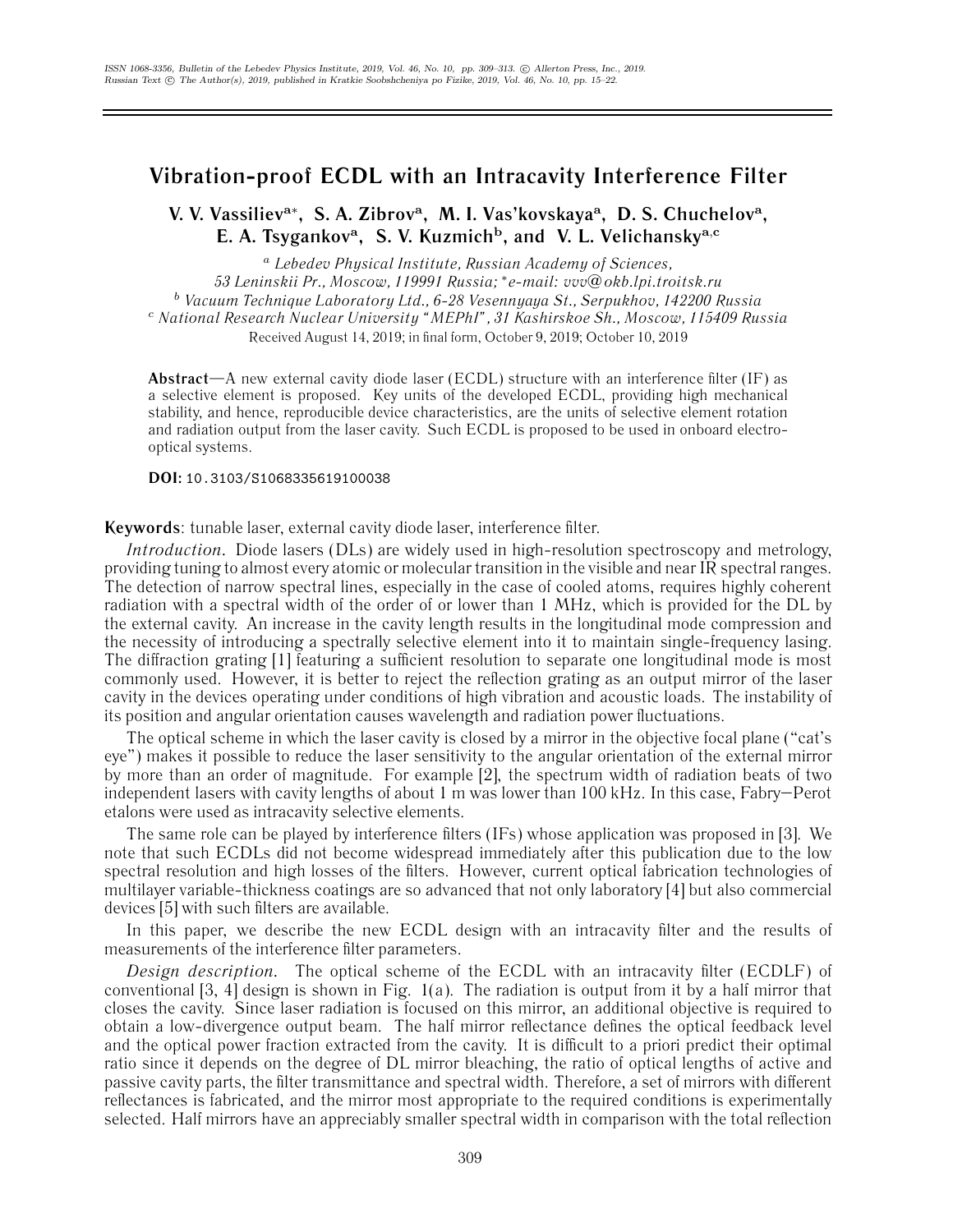# **Vibration-proof ECDL with an Intracavity Interference Filter**

## **V. V. Vassiliev<sup>a</sup>**<sup>∗</sup>**, S. A. Zibrov<sup>a</sup>, M. I. Vas'kovskaya<sup>a</sup>, D. S. Chuchelov<sup>a</sup>, E. A. Tsygankov<sup>a</sup>, S. V. Kuzmich<sup>b</sup>, and V. L. Velichansky<sup>a</sup>**,**<sup>c</sup>**

<sup>a</sup> *Lebedev Physical Institute, Russian Academy of Sciences,*

*53 Leninskii Pr., Moscow, 119991 Russia;* <sup>∗</sup>*e-mail: vvv@okb.lpi.troitsk.ru*

<sup>b</sup> *Vacuum Technique Laboratory Ltd., 6-28 Vesennyaya St., Serpukhov, 142200 Russia* <sup>c</sup> *National Research Nuclear University "MEPhI", 31 Kashirskoe Sh., Moscow, 115409 Russia*

Received August 14, 2019; in final form, October 9, 2019; October 10, 2019

**Abstract**—A new external cavity diode laser (ECDL) structure with an interference filter (IF) as a selective element is proposed. Key units of the developed ECDL, providing high mechanical stability, and hence, reproducible device characteristics, are the units of selective element rotation and radiation output from the laser cavity. Such ECDL is proposed to be used in onboard electrooptical systems.

#### **DOI:** 10.3103/S1068335619100038

**Keywords**: tunable laser, external cavity diode laser, interference filter.

*Introduction.* Diode lasers (DLs) are widely used in high-resolution spectroscopy and metrology, providing tuning to almost every atomic or molecular transition in the visible and near IR spectral ranges. The detection of narrow spectral lines, especially in the case of cooled atoms, requires highly coherent radiation with a spectral width of the order of or lower than 1 MHz, which is provided for the DL by the external cavity. An increase in the cavity length results in the longitudinal mode compression and the necessity of introducing a spectrally selective element into it to maintain single-frequency lasing. The diffraction grating [1] featuring a sufficient resolution to separate one longitudinal mode is most commonly used. However, it is better to reject the reflection grating as an output mirror of the laser cavity in the devices operating under conditions of high vibration and acoustic loads. The instability of its position and angular orientation causes wavelength and radiation power fluctuations.

The optical scheme in which the laser cavity is closed by a mirror in the objective focal plane ("cat's eye") makes it possible to reduce the laser sensitivity to the angular orientation of the external mirror by more than an order of magnitude. For example [2], the spectrum width of radiation beats of two independent lasers with cavity lengths of about 1 m was lower than 100 kHz. In this case, Fabry–Perot etalons were used as intracavity selective elements.

The same role can be played by interference filters (IFs) whose application was proposed in [3]. We note that such ECDLs did not become widespread immediately after this publication due to the low spectral resolution and high losses of the filters. However, current optical fabrication technologies of multilayer variable-thickness coatings are so advanced that not only laboratory [4] but also commercial devices [5] with such filters are available.

In this paper, we describe the new ECDL design with an intracavity filter and the results of measurements of the interference filter parameters.

*Design description.* The optical scheme of the ECDL with an intracavity filter (ECDLF) of conventional [3, 4] design is shown in Fig. 1(a). The radiation is output from it by a half mirror that closes the cavity. Since laser radiation is focused on this mirror, an additional objective is required to obtain a low-divergence output beam. The half mirror reflectance defines the optical feedback level and the optical power fraction extracted from the cavity. It is difficult to a priori predict their optimal ratio since it depends on the degree of DL mirror bleaching, the ratio of optical lengths of active and passive cavity parts, the filter transmittance and spectral width. Therefore, a set of mirrors with different reflectances is fabricated, and the mirror most appropriate to the required conditions is experimentally selected. Half mirrors have an appreciably smaller spectral width in comparison with the total reflection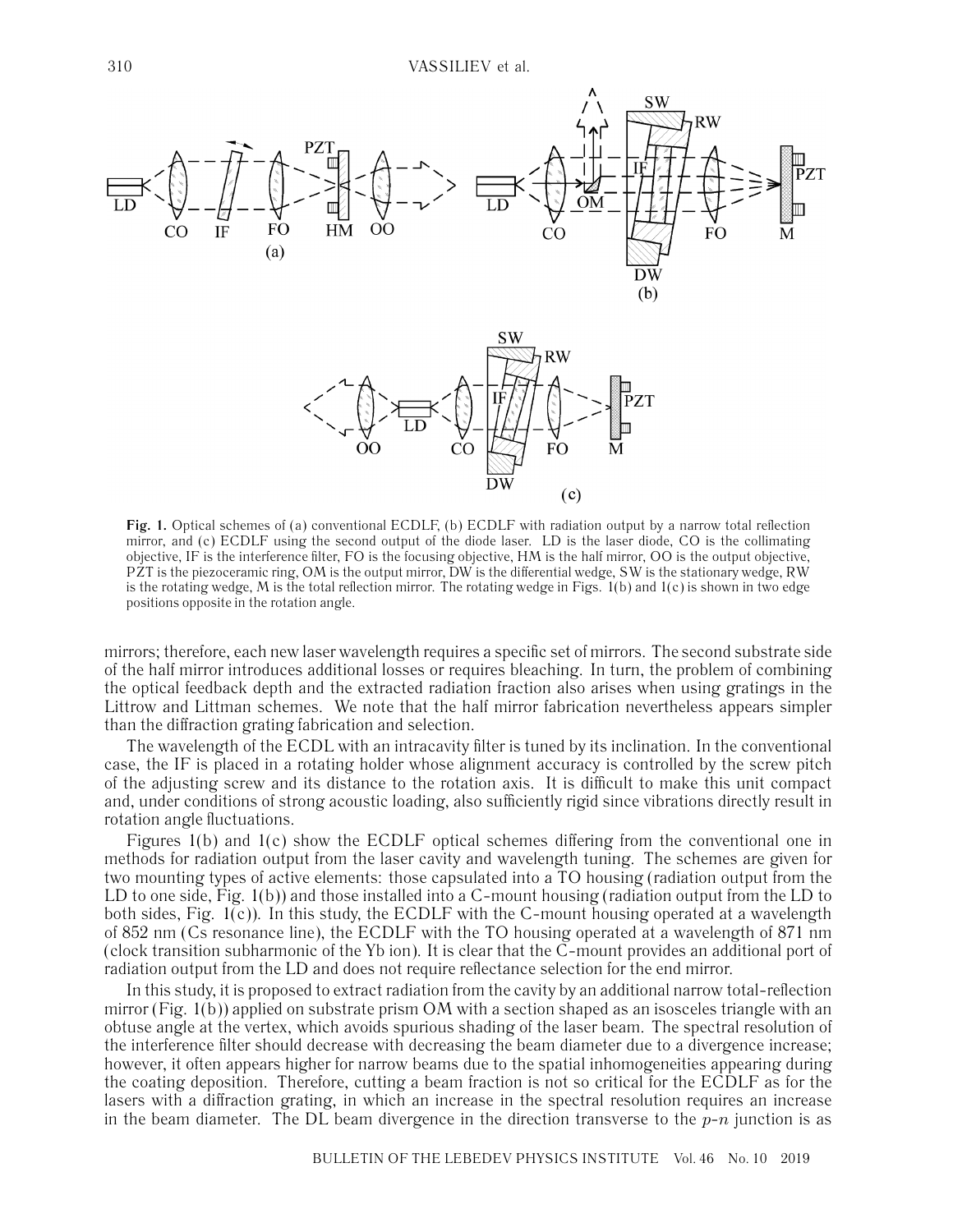

**Fig. 1.** Optical schemes of (a) conventional ECDLF, (b) ECDLF with radiation output by a narrow total reflection mirror, and (c) ECDLF using the second output of the diode laser. LD is the laser diode, CO is the collimating objective, IF is the interference filter, FO is the focusing objective, HM is the half mirror, OO is the output objective, PZT is the piezoceramic ring, OM is the output mirror, DW is the differential wedge, SW is the stationary wedge, RW is the rotating wedge, M is the total reflection mirror. The rotating wedge in Figs. 1(b) and 1(c) is shown in two edge positions opposite in the rotation angle.

 $\alpha$ 

 $F()$ 

 $(c)$ 

mirrors; therefore, each new laser wavelength requires a specific set of mirrors. The second substrate side of the half mirror introduces additional losses or requires bleaching. In turn, the problem of combining the optical feedback depth and the extracted radiation fraction also arises when using gratings in the Littrow and Littman schemes. We note that the half mirror fabrication nevertheless appears simpler than the diffraction grating fabrication and selection.

The wavelength of the ECDL with an intracavity filter is tuned by its inclination. In the conventional case, the IF is placed in a rotating holder whose alignment accuracy is controlled by the screw pitch of the adjusting screw and its distance to the rotation axis. It is difficult to make this unit compact and, under conditions of strong acoustic loading, also sufficiently rigid since vibrations directly result in rotation angle fluctuations.

Figures 1(b) and 1(c) show the ECDLF optical schemes differing from the conventional one in methods for radiation output from the laser cavity and wavelength tuning. The schemes are given for two mounting types of active elements: those capsulated into a TO housing (radiation output from the LD to one side, Fig. 1(b)) and those installed into a C-mount housing (radiation output from the LD to both sides, Fig. 1(c)). In this study, the ECDLF with the C-mount housing operated at a wavelength of 852 nm (Cs resonance line), the ECDLF with the TO housing operated at a wavelength of 871 nm (clock transition subharmonic of the Yb ion). It is clear that the C-mount provides an additional port of radiation output from the LD and does not require reflectance selection for the end mirror.

In this study, it is proposed to extract radiation from the cavity by an additional narrow total-reflection mirror (Fig. 1(b)) applied on substrate prism OM with a section shaped as an isosceles triangle with an obtuse angle at the vertex, which avoids spurious shading of the laser beam. The spectral resolution of the interference filter should decrease with decreasing the beam diameter due to a divergence increase; however, it often appears higher for narrow beams due to the spatial inhomogeneities appearing during the coating deposition. Therefore, cutting a beam fraction is not so critical for the ECDLF as for the lasers with a diffraction grating, in which an increase in the spectral resolution requires an increase in the beam diameter. The DL beam divergence in the direction transverse to the  $p-n$  junction is as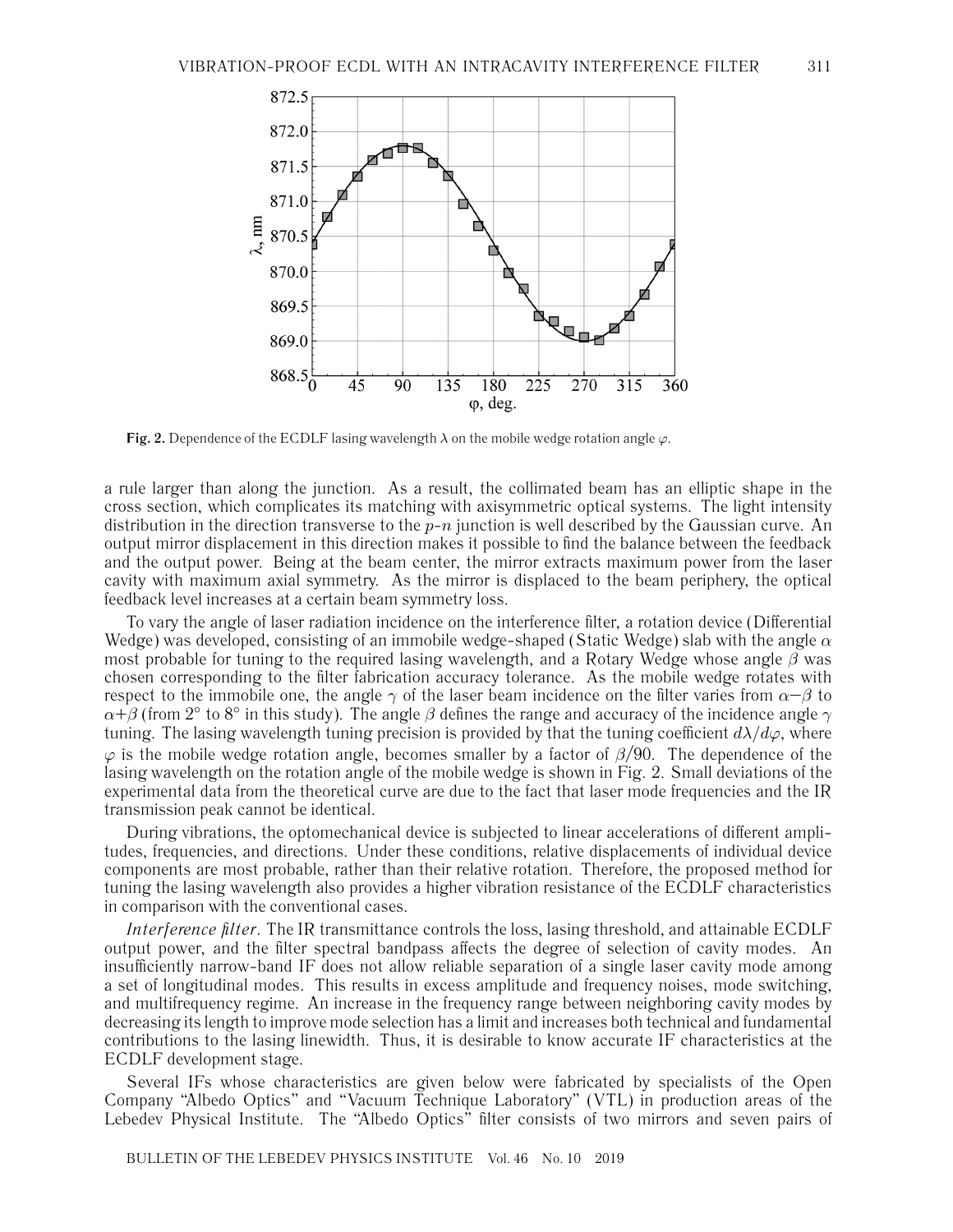

**Fig. 2.** Dependence of the ECDLF lasing wavelength  $\lambda$  on the mobile wedge rotation angle  $\varphi$ .

a rule larger than along the junction. As a result, the collimated beam has an elliptic shape in the cross section, which complicates its matching with axisymmetric optical systems. The light intensity distribution in the direction transverse to the  $p-n$  junction is well described by the Gaussian curve. An output mirror displacement in this direction makes it possible to find the balance between the feedback and the output power. Being at the beam center, the mirror extracts maximum power from the laser cavity with maximum axial symmetry. As the mirror is displaced to the beam periphery, the optical feedback level increases at a certain beam symmetry loss.

To vary the angle of laser radiation incidence on the interference filter, a rotation device (Differential Wedge) was developed, consisting of an immobile wedge-shaped (Static Wedge) slab with the angle  $\alpha$ most probable for tuning to the required lasing wavelength, and a Rotary Wedge whose angle  $\beta$  was chosen corresponding to the filter fabrication accuracy tolerance. As the mobile wedge rotates with respect to the immobile one, the angle  $\gamma$  of the laser beam incidence on the filter varies from  $\alpha-\beta$  to  $\alpha+\beta$  (from 2° to 8° in this study). The angle  $\beta$  defines the range and accuracy of the incidence angle  $\gamma$ tuning. The lasing wavelength tuning precision is provided by that the tuning coefficient  $d\lambda/d\varphi$ , where  $\varphi$  is the mobile wedge rotation angle, becomes smaller by a factor of  $\beta$ /90. The dependence of the lasing wavelength on the rotation angle of the mobile wedge is shown in Fig. 2. Small deviations of the experimental data from the theoretical curve are due to the fact that laser mode frequencies and the IR transmission peak cannot be identical.

During vibrations, the optomechanical device is subjected to linear accelerations of different amplitudes, frequencies, and directions. Under these conditions, relative displacements of individual device components are most probable, rather than their relative rotation. Therefore, the proposed method for tuning the lasing wavelength also provides a higher vibration resistance of the ECDLF characteristics in comparison with the conventional cases.

*Interference filter*. The IR transmittance controls the loss, lasing threshold, and attainable ECDLF output power, and the filter spectral bandpass affects the degree of selection of cavity modes. An insufficiently narrow-band IF does not allow reliable separation of a single laser cavity mode among a set of longitudinal modes. This results in excess amplitude and frequency noises, mode switching, and multifrequency regime. An increase in the frequency range between neighboring cavity modes by decreasing its length to improve mode selection has a limit and increases both technical and fundamental contributions to the lasing linewidth. Thus, it is desirable to know accurate IF characteristics at the ECDLF development stage.

Several IFs whose characteristics are given below were fabricated by specialists of the Open Company "Albedo Optics" and "Vacuum Technique Laboratory" (VTL) in production areas of the Lebedev Physical Institute. The "Albedo Optics" filter consists of two mirrors and seven pairs of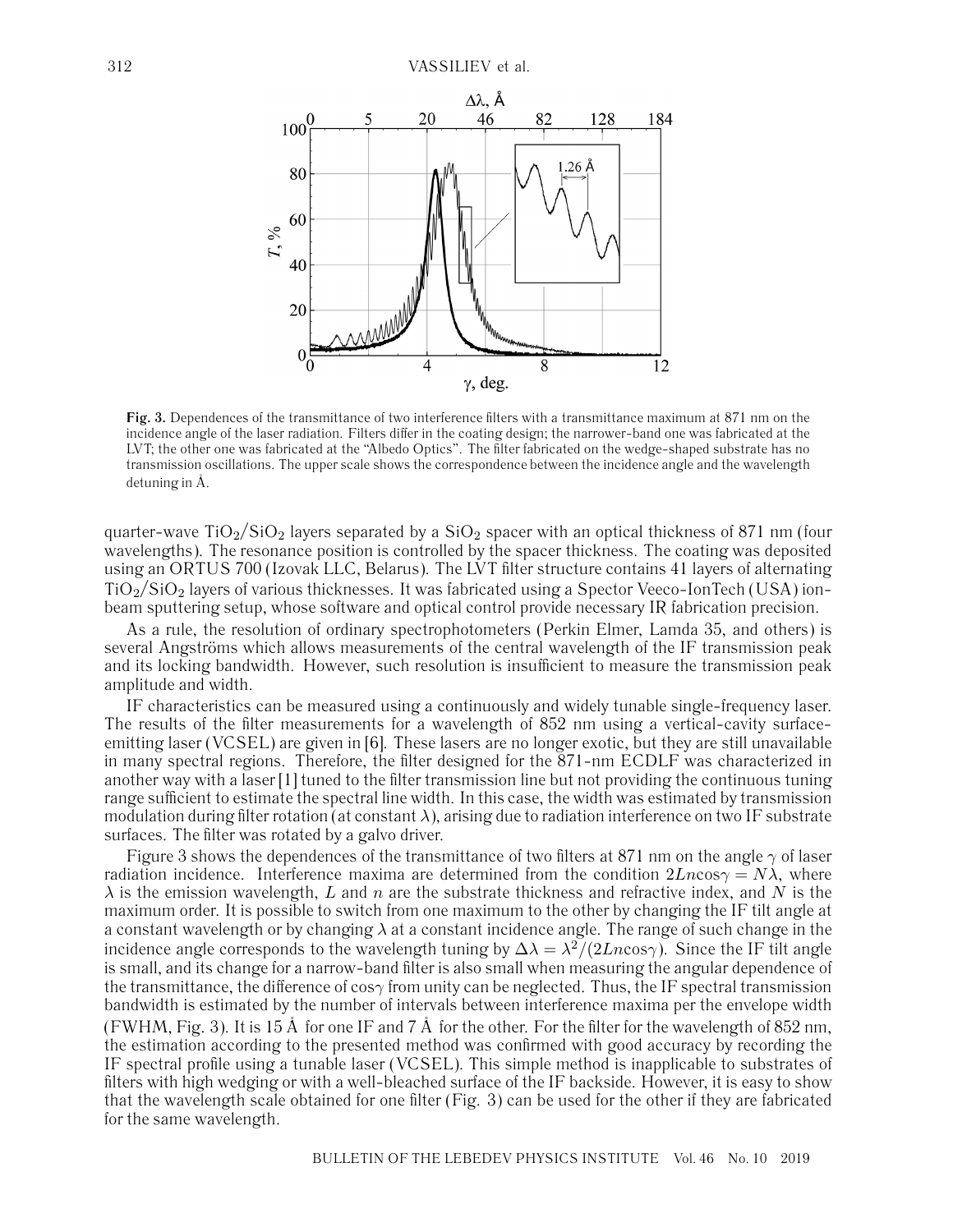

**Fig. 3.** Dependences of the transmittance of two interference filters with a transmittance maximum at 871 nm on the incidence angle of the laser radiation. Filters differ in the coating design; the narrower-band one was fabricated at the LVT; the other one was fabricated at the "Albedo Optics". The filter fabricated on the wedge-shaped substrate has no transmission oscillations. The upper scale shows the correspondence between the incidence angle and the wavelength  $detuning$  in  $\dot{A}$ .

quarter-wave  $TiO<sub>2</sub>/SiO<sub>2</sub>$  layers separated by a  $SiO<sub>2</sub>$  spacer with an optical thickness of 871 nm (four wavelengths). The resonance position is controlled by the spacer thickness. The coating was deposited using an ORTUS 700 (Izovak LLC, Belarus). The LVT filter structure contains 41 layers of alternating  $TiO<sub>2</sub>/SiO<sub>2</sub>$  layers of various thicknesses. It was fabricated using a Spector Veeco-IonTech (USA) ionbeam sputtering setup, whose software and optical control provide necessary IR fabrication precision.

As a rule, the resolution of ordinary spectrophotometers (Perkin Elmer, Lamda 35, and others) is several Angströms which allows measurements of the central wavelength of the IF transmission peak and its locking bandwidth. However, such resolution is insufficient to measure the transmission peak amplitude and width.

IF characteristics can be measured using a continuously and widely tunable single-frequency laser. The results of the filter measurements for a wavelength of 852 nm using a vertical-cavity surfaceemitting laser (VCSEL) are given in [6]. These lasers are no longer exotic, but they are still unavailable in many spectral regions. Therefore, the filter designed for the 871-nm ECDLF was characterized in another way with a laser [1] tuned to the filter transmission line but not providing the continuous tuning range sufficient to estimate the spectral line width. In this case, the width was estimated by transmission modulation during filter rotation (at constant  $\lambda$ ), arising due to radiation interference on two IF substrate surfaces. The filter was rotated by a galvo driver.

Figure 3 shows the dependences of the transmittance of two filters at 871 nm on the angle  $\gamma$  of laser radiation incidence. Interference maxima are determined from the condition  $2Ln\cos\gamma = N\lambda$ , where  $\lambda$  is the emission wavelength, L and n are the substrate thickness and refractive index, and N is the maximum order. It is possible to switch from one maximum to the other by changing the IF tilt angle at a constant wavelength or by changing  $\lambda$  at a constant incidence angle. The range of such change in the incidence angle corresponds to the wavelength tuning by  $\Delta \lambda = \lambda^2/(2Ln\cos\gamma)$ . Since the IF tilt angle is small, and its change for a narrow-band filter is also small when measuring the angular dependence of the transmittance, the difference of  $\cos\gamma$  from unity can be neglected. Thus, the IF spectral transmission bandwidth is estimated by the number of intervals between interference maxima per the envelope width (FWHM, Fig. 3). It is 15 Å for one IF and 7 Å for the other. For the filter for the wavelength of 852 nm, the estimation according to the presented method was confirmed with good accuracy by recording the IF spectral profile using a tunable laser (VCSEL). This simple method is inapplicable to substrates of filters with high wedging or with a well-bleached surface of the IF backside. However, it is easy to show that the wavelength scale obtained for one filter (Fig. 3) can be used for the other if they are fabricated for the same wavelength.